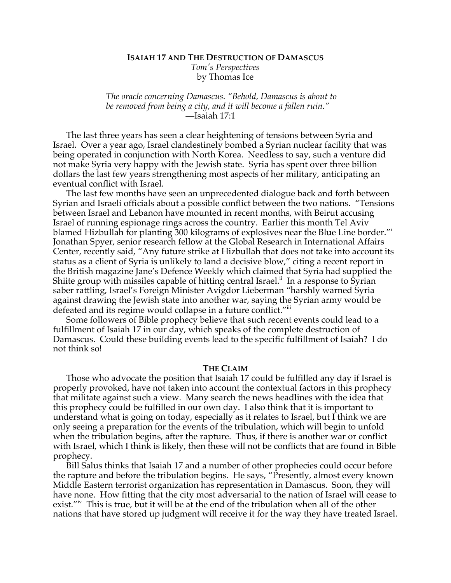# **ISAIAH 17 AND THE DESTRUCTION OF DAMASCUS** *Tom's Perspectives* by Thomas Ice

*The oracle concerning Damascus. "Behold, Damascus is about to be removed from being a city, and it will become a fallen ruin."* —Isaiah 17:1

The last three years has seen a clear heightening of tensions between Syria and Israel. Over a year ago, Israel clandestinely bombed a Syrian nuclear facility that was being operated in conjunction with North Korea. Needless to say, such a venture did not make Syria very happy with the Jewish state. Syria has spent over three billion dollars the last few years strengthening most aspects of her military, anticipating an eventual conflict with Israel.

The last few months have seen an unprecedented dialogue back and forth between Syrian and Israeli officials about a possible conflict between the two nations. "Tensions between Israel and Lebanon have mounted in recent months, with Beirut accusing Israel of running espionage rings across the country. Earlier this month Tel Aviv blamed Hizbullah for planting 300 kilograms of explosives near the Blue Line border."<sup>i</sup> Jonathan Spyer, senior research fellow at the Global Research in International Affairs Center, recently said, "Any future strike at Hizbullah that does not take into account its status as a client of Syria is unlikely to land a decisive blow," citing a recent report in the British magazine Jane's Defence Weekly which claimed that Syria had supplied the Shiite group with missiles capable of hitting central Israel.<sup>ii</sup> In a response to Syrian saber rattling, Israel's Foreign Minister Avigdor Lieberman "harshly warned Syria against drawing the Jewish state into another war, saying the Syrian army would be defeated and its regime would collapse in a future conflict."iii

Some followers of Bible prophecy believe that such recent events could lead to a fulfillment of Isaiah 17 in our day, which speaks of the complete destruction of Damascus. Could these building events lead to the specific fulfillment of Isaiah? I do not think so!

#### **THE CLAIM**

Those who advocate the position that Isaiah 17 could be fulfilled any day if Israel is properly provoked, have not taken into account the contextual factors in this prophecy that militate against such a view. Many search the news headlines with the idea that this prophecy could be fulfilled in our own day. I also think that it is important to understand what is going on today, especially as it relates to Israel, but I think we are only seeing a preparation for the events of the tribulation, which will begin to unfold when the tribulation begins, after the rapture. Thus, if there is another war or conflict with Israel, which I think is likely, then these will not be conflicts that are found in Bible prophecy.

Bill Salus thinks that Isaiah 17 and a number of other prophecies could occur before the rapture and before the tribulation begins. He says, "Presently, almost every known Middle Eastern terrorist organization has representation in Damascus. Soon, they will have none. How fitting that the city most adversarial to the nation of Israel will cease to exist."iv This is true, but it will be at the end of the tribulation when all of the other nations that have stored up judgment will receive it for the way they have treated Israel.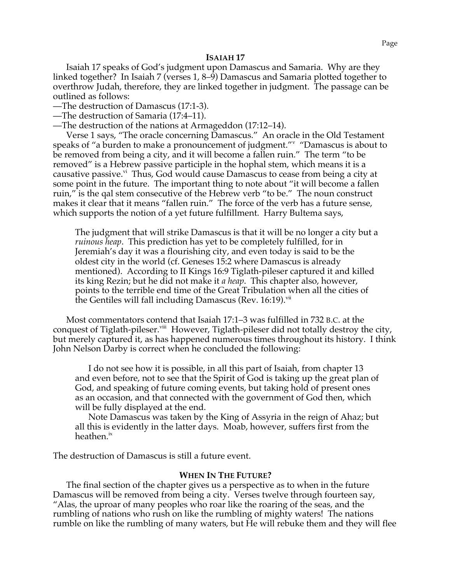# **ISAIAH 17**

Isaiah 17 speaks of God's judgment upon Damascus and Samaria. Why are they linked together? In Isaiah 7 (verses 1, 8–9) Damascus and Samaria plotted together to overthrow Judah, therefore, they are linked together in judgment. The passage can be outlined as follows:

—The destruction of Damascus (17:1-3).

—The destruction of Samaria (17:4–11).

—The destruction of the nations at Armageddon (17:12–14).

Verse 1 says, "The oracle concerning Damascus." An oracle in the Old Testament speaks of "a burden to make a pronouncement of judgment." "Damascus is about to be removed from being a city, and it will become a fallen ruin." The term "to be removed" is a Hebrew passive participle in the hophal stem, which means it is a causative passive.<sup>vi</sup> Thus, God would cause Damascus to cease from being a city at some point in the future. The important thing to note about "it will become a fallen ruin," is the qal stem consecutive of the Hebrew verb "to be." The noun construct makes it clear that it means "fallen ruin." The force of the verb has a future sense, which supports the notion of a yet future fulfillment. Harry Bultema says,

The judgment that will strike Damascus is that it will be no longer a city but a *ruinous heap*. This prediction has yet to be completely fulfilled, for in Jeremiah's day it was a flourishing city, and even today is said to be the oldest city in the world (cf. Geneses 15:2 where Damascus is already mentioned). According to II Kings 16:9 Tiglath-pileser captured it and killed its king Rezin; but he did not make it *a heap*. This chapter also, however, points to the terrible end time of the Great Tribulation when all the cities of the Gentiles will fall including Damascus (Rev.  $16:19$ ).<sup>vii</sup>

Most commentators contend that Isaiah 17:1–3 was fulfilled in 732 B.C. at the conquest of Tiglath-pileser.<sup>viii</sup> However, Tiglath-pileser did not totally destroy the city, but merely captured it, as has happened numerous times throughout its history. I think John Nelson Darby is correct when he concluded the following:

I do not see how it is possible, in all this part of Isaiah, from chapter 13 and even before, not to see that the Spirit of God is taking up the great plan of God, and speaking of future coming events, but taking hold of present ones as an occasion, and that connected with the government of God then, which will be fully displayed at the end.

Note Damascus was taken by the King of Assyria in the reign of Ahaz; but all this is evidently in the latter days. Moab, however, suffers first from the heathen.<sup>ix</sup>

The destruction of Damascus is still a future event.

# **WHEN IN THE FUTURE?**

The final section of the chapter gives us a perspective as to when in the future Damascus will be removed from being a city. Verses twelve through fourteen say, "Alas, the uproar of many peoples who roar like the roaring of the seas, and the rumbling of nations who rush on like the rumbling of mighty waters! The nations rumble on like the rumbling of many waters, but He will rebuke them and they will flee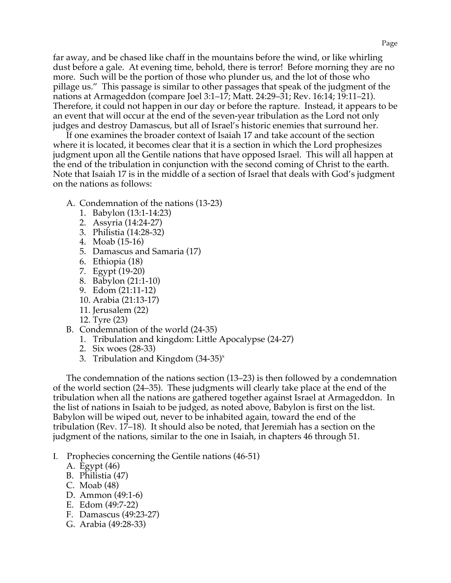far away, and be chased like chaff in the mountains before the wind, or like whirling dust before a gale. At evening time, behold, there is terror! Before morning they are no more. Such will be the portion of those who plunder us, and the lot of those who pillage us." This passage is similar to other passages that speak of the judgment of the nations at Armageddon (compare Joel 3:1–17; Matt. 24:29–31; Rev. 16:14; 19:11–21). Therefore, it could not happen in our day or before the rapture. Instead, it appears to be an event that will occur at the end of the seven-year tribulation as the Lord not only judges and destroy Damascus, but all of Israel's historic enemies that surround her.

If one examines the broader context of Isaiah 17 and take account of the section where it is located, it becomes clear that it is a section in which the Lord prophesizes judgment upon all the Gentile nations that have opposed Israel. This will all happen at the end of the tribulation in conjunction with the second coming of Christ to the earth. Note that Isaiah 17 is in the middle of a section of Israel that deals with God's judgment on the nations as follows:

- A. Condemnation of the nations (13-23)
	- 1. Babylon (13:1-14:23)
	- 2. Assyria (14:24-27)
	- 3. Philistia (14:28-32)
	- 4. Moab (15-16)
	- 5. Damascus and Samaria (17)
	- 6. Ethiopia (18)
	- 7. Egypt (19-20)
	- 8. Babylon (21:1-10)
	- 9. Edom (21:11-12)
	- 10. Arabia (21:13-17)
	- 11. Jerusalem (22)
	- 12. Tyre (23)
- B. Condemnation of the world (24-35)
	- 1. Tribulation and kingdom: Little Apocalypse (24-27)
	- 2. Six woes (28-33)
	- 3. Tribulation and Kingdom  $(34-35)^{x}$

The condemnation of the nations section (13–23) is then followed by a condemnation of the world section (24–35). These judgments will clearly take place at the end of the tribulation when all the nations are gathered together against Israel at Armageddon. In the list of nations in Isaiah to be judged, as noted above, Babylon is first on the list. Babylon will be wiped out, never to be inhabited again, toward the end of the tribulation (Rev. 17–18). It should also be noted, that Jeremiah has a section on the judgment of the nations, similar to the one in Isaiah, in chapters 46 through 51.

- I. Prophecies concerning the Gentile nations (46-51)
	- A. Egypt (46)
	- B. Philistia (47)
	- C. Moab (48)
	- D. Ammon (49:1-6)
	- E. Edom (49:7-22)
	- F. Damascus (49:23-27)
	- G. Arabia (49:28-33)